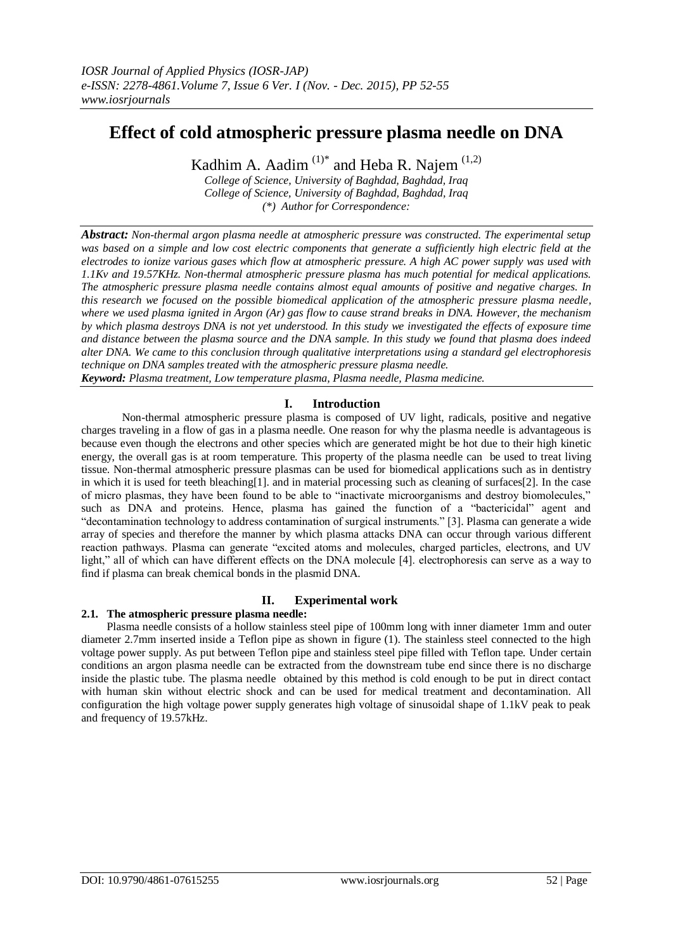# **Effect of cold atmospheric pressure plasma needle on DNA**

Kadhim A. Aadim  $(1)^*$  and Heba R. Najem  $(1,2)$ 

*College of Science, University of Baghdad, Baghdad, Iraq College of Science, University of Baghdad, Baghdad, Iraq (\*) Author for Correspondence:*

*Abstract: Non-thermal argon plasma needle at atmospheric pressure was constructed. The experimental setup was based on a simple and low cost electric components that generate a sufficiently high electric field at the electrodes to ionize various gases which flow at atmospheric pressure. A high AC power supply was used with 1.1Kv and 19.57KHz. Non-thermal atmospheric pressure plasma has much potential for medical applications. The atmospheric pressure plasma needle contains almost equal amounts of positive and negative charges. In this research we focused on the possible biomedical application of the atmospheric pressure plasma needle, where we used plasma ignited in Argon (Ar) gas flow to cause strand breaks in DNA. However, the mechanism by which plasma destroys DNA is not yet understood. In this study we investigated the effects of exposure time and distance between the plasma source and the DNA sample. In this study we found that plasma does indeed alter DNA. We came to this conclusion through qualitative interpretations using a standard gel electrophoresis technique on DNA samples treated with the atmospheric pressure plasma needle. Keyword: Plasma treatment, Low temperature plasma, Plasma needle, Plasma medicine.*

# **I. Introduction**

 Non-thermal atmospheric pressure plasma is composed of UV light, radicals, positive and negative charges traveling in a flow of gas in a plasma needle. One reason for why the plasma needle is advantageous is because even though the electrons and other species which are generated might be hot due to their high kinetic energy, the overall gas is at room temperature. This property of the plasma needle can be used to treat living tissue. Non-thermal atmospheric pressure plasmas can be used for biomedical applications such as in dentistry in which it is used for teeth bleaching[1]. and in material processing such as cleaning of surfaces[2]. In the case of micro plasmas, they have been found to be able to "inactivate microorganisms and destroy biomolecules," such as DNA and proteins. Hence, plasma has gained the function of a "bactericidal" agent and "decontamination technology to address contamination of surgical instruments." [3]. Plasma can generate a wide array of species and therefore the manner by which plasma attacks DNA can occur through various different reaction pathways. Plasma can generate "excited atoms and molecules, charged particles, electrons, and UV light," all of which can have different effects on the DNA molecule [4]. electrophoresis can serve as a way to find if plasma can break chemical bonds in the plasmid DNA.

# **II. Experimental work**

# **2.1. The atmospheric pressure plasma needle:**

Plasma needle consists of a hollow stainless steel pipe of 100mm long with inner diameter 1mm and outer diameter 2.7mm inserted inside a Teflon pipe as shown in figure (1). The stainless steel connected to the high voltage power supply. As put between Teflon pipe and stainless steel pipe filled with Teflon tape. Under certain conditions an argon plasma needle can be extracted from the downstream tube end since there is no discharge inside the plastic tube. The plasma needle obtained by this method is cold enough to be put in direct contact with human skin without electric shock and can be used for medical treatment and decontamination. All configuration the high voltage power supply generates high voltage of sinusoidal shape of 1.1kV peak to peak and frequency of 19.57kHz.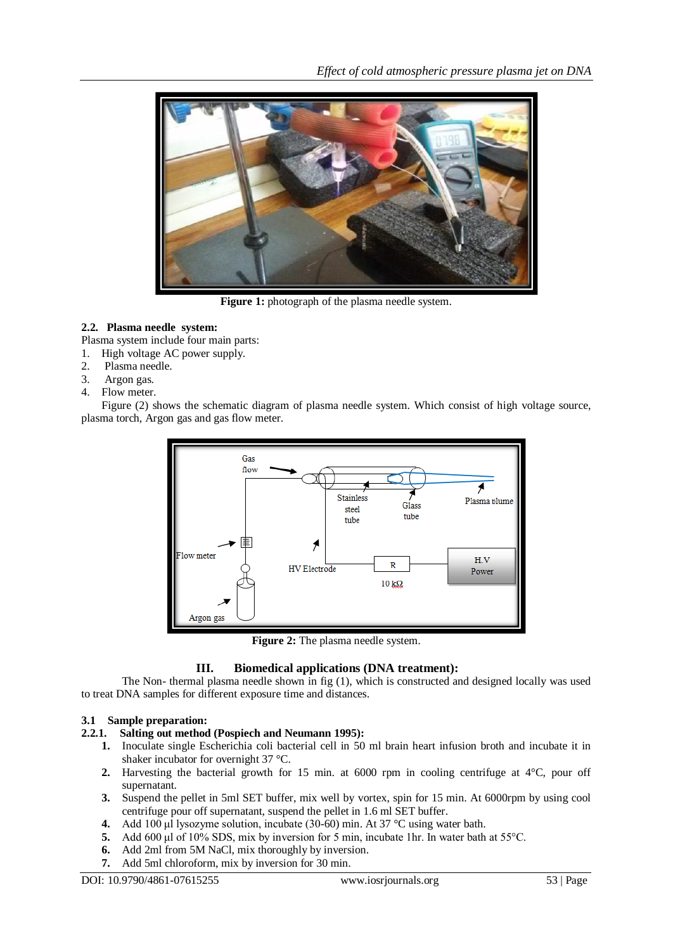

**Figure 1:** photograph of the plasma needle system.

# **2.2. Plasma needle system:**

Plasma system include four main parts:

- 1. High voltage AC power supply.
- 2. Plasma needle.
- 3. Argon gas.
- 4. Flow meter.

Figure (2) shows the schematic diagram of plasma needle system. Which consist of high voltage source, plasma torch, Argon gas and gas flow meter.



**Figure 2:** The plasma needle system.

# **III. Biomedical applications (DNA treatment):**

The Non- thermal plasma needle shown in fig (1), which is constructed and designed locally was used to treat DNA samples for different exposure time and distances.

# **3.1 Sample preparation:**

# **2.2.1. Salting out method (Pospiech and Neumann 1995):**

- **1.** Inoculate single Escherichia coli bacterial cell in 50 ml brain heart infusion broth and incubate it in shaker incubator for overnight 37 °C.
- **2.** Harvesting the bacterial growth for 15 min. at 6000 rpm in cooling centrifuge at 4°C, pour off supernatant.
- **3.** Suspend the pellet in 5ml SET buffer, mix well by vortex, spin for 15 min. At 6000rpm by using cool centrifuge pour off supernatant, suspend the pellet in 1.6 ml SET buffer.
- **4.** Add 100 μl lysozyme solution, incubate (30-60) min. At 37 °C using water bath.
- **5.** Add 600 μl of 10% SDS, mix by inversion for 5 min, incubate 1hr. In water bath at 55°C.
- **6.** Add 2ml from 5M NaCl, mix thoroughly by inversion.
- **7.** Add 5ml chloroform, mix by inversion for 30 min.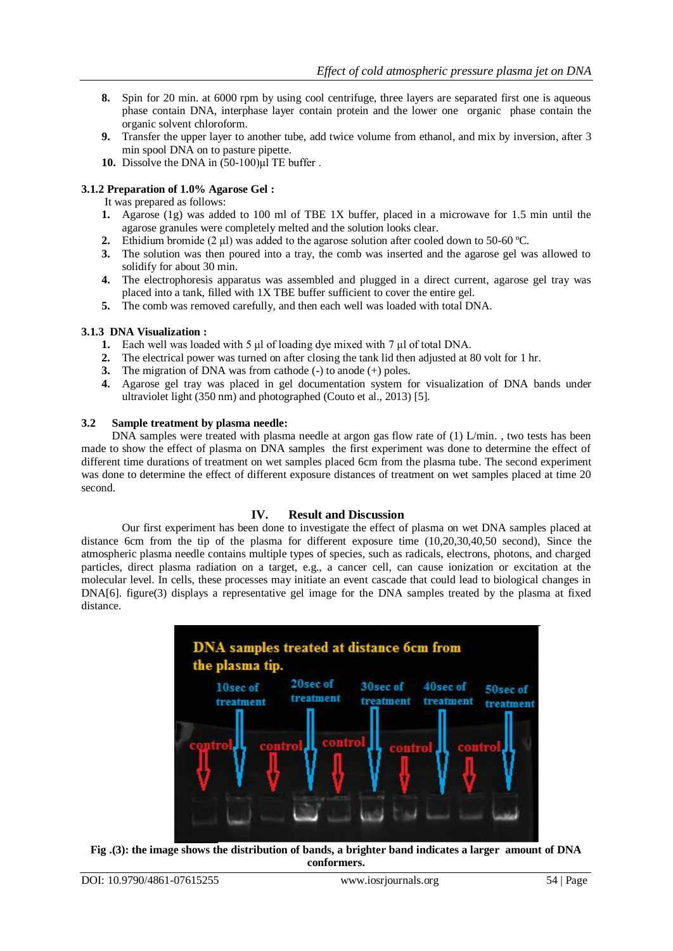- **8.** Spin for 20 min. at 6000 rpm by using cool centrifuge, three layers are separated first one is aqueous phase contain DNA, interphase layer contain protein and the lower one organic phase contain the organic solvent chloroform.
- **9.** Transfer the upper layer to another tube, add twice volume from ethanol, and mix by inversion, after 3 min spool DNA on to pasture pipette.
- **10.** Dissolve the DNA in (50-100)μl TE buffer .

# **3.1.2 Preparation of 1.0% Agarose Gel :**

It was prepared as follows:

- **1.** Agarose (1g) was added to 100 ml of TBE 1X buffer, placed in a microwave for 1.5 min until the agarose granules were completely melted and the solution looks clear.
- **2.** Ethidium bromide (2  $\mu$ ) was added to the agarose solution after cooled down to 50-60 °C.
- **3.** The solution was then poured into a tray, the comb was inserted and the agarose gel was allowed to solidify for about 30 min.
- **4.** The electrophoresis apparatus was assembled and plugged in a direct current, agarose gel tray was placed into a tank, filled with 1X TBE buffer sufficient to cover the entire gel.
- **5.** The comb was removed carefully, and then each well was loaded with total DNA.

#### **3.1.3 DNA Visualization :**

- **1.** Each well was loaded with 5 μl of loading dye mixed with 7 μl of total DNA.
- **2.** The electrical power was turned on after closing the tank lid then adjusted at 80 volt for 1 hr.
- **3.** The migration of DNA was from cathode (-) to anode (+) poles.
- **4.** Agarose gel tray was placed in gel documentation system for visualization of DNA bands under ultraviolet light (350 nm) and photographed (Couto et al., 2013) [5].

#### **3.2 Sample treatment by plasma needle:**

DNA samples were treated with plasma needle at argon gas flow rate of (1) L/min., two tests has been made to show the effect of plasma on DNA samples the first experiment was done to determine the effect of different time durations of treatment on wet samples placed 6cm from the plasma tube. The second experiment was done to determine the effect of different exposure distances of treatment on wet samples placed at time 20 second.

#### **IV. Result and Discussion**

Our first experiment has been done to investigate the effect of plasma on wet DNA samples placed at distance 6cm from the tip of the plasma for different exposure time (10,20,30,40,50 second), Since the atmospheric plasma needle contains multiple types of species, such as radicals, electrons, photons, and charged particles, direct plasma radiation on a target, e.g., a cancer cell, can cause ionization or excitation at the molecular level. In cells, these processes may initiate an event cascade that could lead to biological changes in DNA[6]. figure(3) displays a representative gel image for the DNA samples treated by the plasma at fixed distance.



**Fig .(3): the image shows the distribution of bands, a brighter band indicates a larger amount of DNA conformers.**